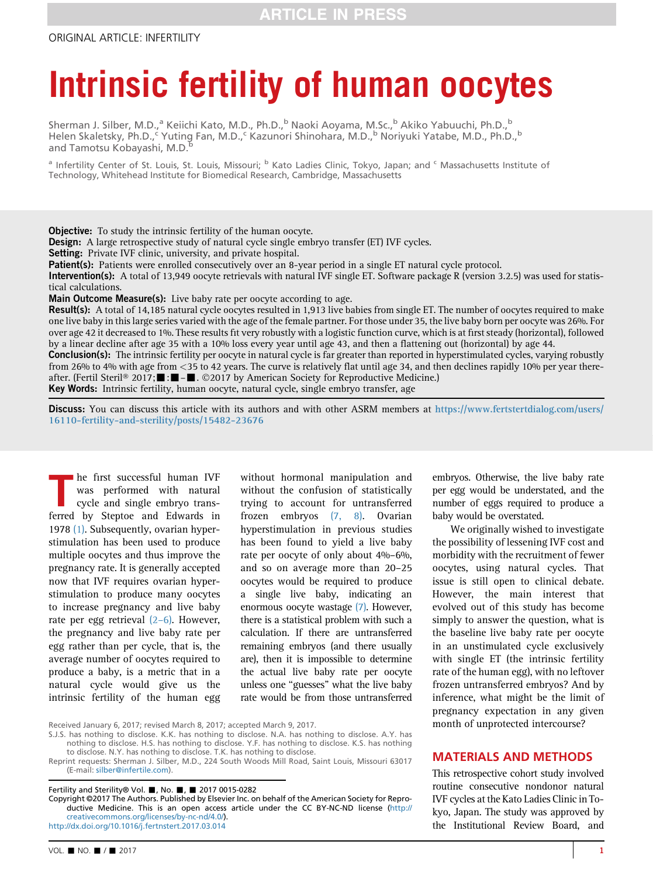# Intrinsic fertility of human oocytes

Sherman J. Silber, M.D.,<sup>a</sup> Keiichi Kato, M.D., Ph.D.,<sup>b</sup> Naoki Aoyama, M.Sc.,<sup>b</sup> Akiko Yabuuchi, Ph.D.,<sup>b</sup> Helen Skaletsky, Ph.D.,<sup>c</sup> Yuting Fan, M.D.,<sup>c</sup> Kazunori Shinohara, M.D.,<sup>b</sup> Noriyuki Yatabe, M.D., Ph.D.,<sup>b</sup> and Tamotsu Kobayashi, M.D.<sup>t</sup>

<sup>a</sup> Infertility Center of St. Louis, St. Louis, Missouri; <sup>b</sup> Kato Ladies Clinic, Tokyo, Japan; and <sup>c</sup> Massachusetts Institute of Technology, Whitehead Institute for Biomedical Research, Cambridge, Massachusetts

**Objective:** To study the intrinsic fertility of the human oocyte.

**Design:** A large retrospective study of natural cycle single embryo transfer (ET) IVF cycles.

Setting: Private IVF clinic, university, and private hospital.

Patient(s): Patients were enrolled consecutively over an 8-year period in a single ET natural cycle protocol.

Intervention(s): A total of 13,949 oocyte retrievals with natural IVF single ET. Software package R (version 3.2.5) was used for statistical calculations.

Main Outcome Measure(s): Live baby rate per oocyte according to age.

Result(s): A total of 14,185 natural cycle oocytes resulted in 1,913 live babies from single ET. The number of oocytes required to make one live baby in this large series varied with the age of the female partner. For those under 35, the live baby born per oocyte was 26%. For over age 42 it decreased to 1%. These results fit very robustly with a logistic function curve, which is at first steady (horizontal), followed by a linear decline after age 35 with a 10% loss every year until age 43, and then a flattening out (horizontal) by age 44.

**Conclusion(s):** The intrinsic fertility per oocyte in natural cycle is far greater than reported in hyperstimulated cycles, varying robustly from 26% to 4% with age from <35 to 42 years. The curve is relatively flat until age 34, and then declines rapidly 10% per year thereafter. (Fertil Steril® 2017; $\blacksquare$ : $\blacksquare$ - $\blacksquare$ . ©2017 by American Society for Reproductive Medicine.)

Key Words: Intrinsic fertility, human oocyte, natural cycle, single embryo transfer, age

Discuss: You can discuss this article with its authors and with other ASRM members at [https://www.fertstertdialog.com/users/](https://www.fertstertdialog.com/users/16110-fertility-and-sterility/posts/15482-23676) [16110-fertility-and-sterility/posts/15482-23676](https://www.fertstertdialog.com/users/16110-fertility-and-sterility/posts/15482-23676)

The first successful human IVF was performed with natural cycle and single embryo transferred by Steptoe and Edwards in 1978 [\(1\).](#page-5-0) Subsequently, ovarian hyperstimulation has been used to produce multiple oocytes and thus improve the pregnancy rate. It is generally accepted now that IVF requires ovarian hyperstimulation to produce many oocytes to increase pregnancy and live baby rate per egg retrieval (2–[6\).](#page-5-0) However, the pregnancy and live baby rate per egg rather than per cycle, that is, the average number of oocytes required to produce a baby, is a metric that in a natural cycle would give us the intrinsic fertility of the human egg without hormonal manipulation and without the confusion of statistically trying to account for untransferred frozen embryos [\(7, 8\).](#page-5-0) Ovarian hyperstimulation in previous studies has been found to yield a live baby rate per oocyte of only about 4%–6%, and so on average more than 20–25 oocytes would be required to produce a single live baby, indicating an enormous oocyte wastage [\(7\)](#page-5-0). However, there is a statistical problem with such a calculation. If there are untransferred remaining embryos (and there usually are), then it is impossible to determine the actual live baby rate per oocyte unless one ''guesses'' what the live baby rate would be from those untransferred

Received January 6, 2017; revised March 8, 2017; accepted March 9, 2017.

S.J.S. has nothing to disclose. K.K. has nothing to disclose. N.A. has nothing to disclose. A.Y. has nothing to disclose. H.S. has nothing to disclose. Y.F. has nothing to disclose. K.S. has nothing to disclose. N.Y. has nothing to disclose. T.K. has nothing to disclose.

Reprint requests: Sherman J. Silber, M.D., 224 South Woods Mill Road, Saint Louis, Missouri 63017 (E-mail: [silber@infertile.com\)](mailto:silber@infertile.com).

#### Fertility and Sterility® Vol. ■, No. ■, ■ 2017 0015-0282

Copyright ©2017 The Authors. Published by Elsevier Inc. on behalf of the American Society for Reproductive Medicine. This is an open access article under the CC BY-NC-ND license [\(http://](http://creativecommons.org/licenses/by-nc-nd/4.0/) [creativecommons.org/licenses/by-nc-nd/4.0/](http://creativecommons.org/licenses/by-nc-nd/4.0/)). <http://dx.doi.org/10.1016/j.fertnstert.2017.03.014>

embryos. Otherwise, the live baby rate per egg would be understated, and the number of eggs required to produce a baby would be overstated.

We originally wished to investigate the possibility of lessening IVF cost and morbidity with the recruitment of fewer oocytes, using natural cycles. That issue is still open to clinical debate. However, the main interest that evolved out of this study has become simply to answer the question, what is the baseline live baby rate per oocyte in an unstimulated cycle exclusively with single ET (the intrinsic fertility rate of the human egg), with no leftover frozen untransferred embryos? And by inference, what might be the limit of pregnancy expectation in any given month of unprotected intercourse?

# MATERIALS AND METHODS

This retrospective cohort study involved routine consecutive nondonor natural IVF cycles at the Kato Ladies Clinic in Tokyo, Japan. The study was approved by the Institutional Review Board, and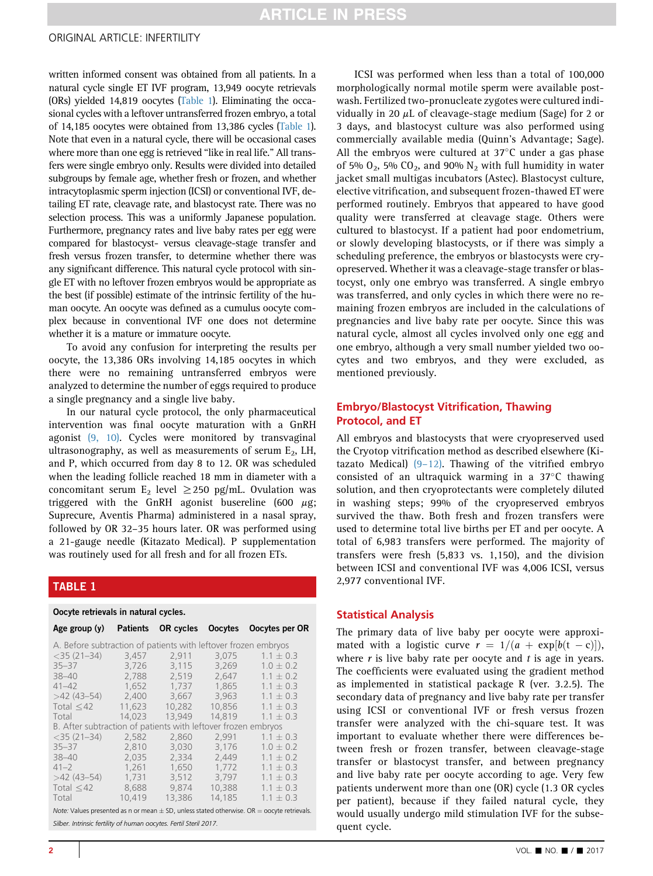# ORIGINAL ARTICLE: INFERTILITY

written informed consent was obtained from all patients. In a natural cycle single ET IVF program, 13,949 oocyte retrievals (ORs) yielded 14,819 oocytes (Table 1). Eliminating the occasional cycles with a leftover untransferred frozen embryo, a total of 14,185 oocytes were obtained from 13,386 cycles (Table 1). Note that even in a natural cycle, there will be occasional cases where more than one egg is retrieved "like in real life." All transfers were single embryo only. Results were divided into detailed subgroups by female age, whether fresh or frozen, and whether intracytoplasmic sperm injection (ICSI) or conventional IVF, detailing ET rate, cleavage rate, and blastocyst rate. There was no selection process. This was a uniformly Japanese population. Furthermore, pregnancy rates and live baby rates per egg were compared for blastocyst- versus cleavage-stage transfer and fresh versus frozen transfer, to determine whether there was any significant difference. This natural cycle protocol with single ET with no leftover frozen embryos would be appropriate as the best (if possible) estimate of the intrinsic fertility of the human oocyte. An oocyte was defined as a cumulus oocyte complex because in conventional IVF one does not determine whether it is a mature or immature oocyte.

To avoid any confusion for interpreting the results per oocyte, the 13,386 ORs involving 14,185 oocytes in which there were no remaining untransferred embryos were analyzed to determine the number of eggs required to produce a single pregnancy and a single live baby.

In our natural cycle protocol, the only pharmaceutical intervention was final oocyte maturation with a GnRH agonist [\(9, 10\)](#page-5-0). Cycles were monitored by transvaginal ultrasonography, as well as measurements of serum  $E_2$ , LH, and P, which occurred from day 8 to 12. OR was scheduled when the leading follicle reached 18 mm in diameter with a concomitant serum  $E_2$  level  $\geq$  250 pg/mL. Ovulation was triggered with the GnRH agonist busereline (600  $\mu$ g; Suprecure, Aventis Pharma) administered in a nasal spray, followed by OR 32–35 hours later. OR was performed using a 21-gauge needle (Kitazato Medical). P supplementation was routinely used for all fresh and for all frozen ETs.

# TABLE 1

#### Oocyte retrievals in natural cycles.

| Age group (y)                                                                                  | <b>Patients</b> | OR cycles Oocytes |        | Oocytes per OR |  |  |  |  |  |
|------------------------------------------------------------------------------------------------|-----------------|-------------------|--------|----------------|--|--|--|--|--|
| A. Before subtraction of patients with leftover frozen embryos                                 |                 |                   |        |                |  |  |  |  |  |
| $<$ 35 (21–34)                                                                                 | 3.457           | 2.911             | 3.075  | $1.1 \pm 0.3$  |  |  |  |  |  |
| $35 - 37$                                                                                      | 3,726           | 3.115             | 3,269  | $1.0 \pm 0.2$  |  |  |  |  |  |
| $38 - 40$                                                                                      | 2,788           | 2,519             | 2,647  | $1.1 \pm 0.2$  |  |  |  |  |  |
| $41 - 42$                                                                                      | 1,652           | 1,737             | 1,865  | $1.1 + 0.3$    |  |  |  |  |  |
| $>42(43-54)$                                                                                   | 2.400           | 3.667             | 3.963  | $1.1 \pm 0.3$  |  |  |  |  |  |
| Total $\leq$ 42                                                                                | 11.623          | 10.282            | 10.856 | $1.1 \pm 0.3$  |  |  |  |  |  |
| Total                                                                                          | 14.023          | 13,949            | 14.819 | $1.1 + 0.3$    |  |  |  |  |  |
| B. After subtraction of patients with leftover frozen embryos                                  |                 |                   |        |                |  |  |  |  |  |
| $<$ 35 (21–34)                                                                                 | 2.582           | 2.860             | 2.991  | $1.1 \pm 0.3$  |  |  |  |  |  |
| $35 - 37$                                                                                      | 2,810           | 3,030             | 3,176  | $1.0 + 0.2$    |  |  |  |  |  |
| $38 - 40$                                                                                      | 2,035           | 2.334             | 2,449  | $1.1 + 0.2$    |  |  |  |  |  |
| $41 - 2$                                                                                       | 1.261           | 1.650             | 1,772  | $1.1 + 0.3$    |  |  |  |  |  |
| $>42(43-54)$                                                                                   | 1,731           | 3,512             | 3,797  | $1.1 \pm 0.3$  |  |  |  |  |  |
| Total $\leq$ 42                                                                                | 8,688           | 9.874             | 10,388 | $1.1 \pm 0.3$  |  |  |  |  |  |
| Total                                                                                          | 10.419          | 13,386            | 14,185 | $1.1 + 0.3$    |  |  |  |  |  |
| Note: Values presented as n or mean $\pm$ SD, unless stated otherwise. OR = oocyte retrievals. |                 |                   |        |                |  |  |  |  |  |

Silber. Intrinsic fertility of human oocytes. Fertil Steril 2017.

ICSI was performed when less than a total of 100,000 morphologically normal motile sperm were available postwash. Fertilized two-pronucleate zygotes were cultured individually in 20  $\mu$ L of cleavage-stage medium (Sage) for 2 or 3 days, and blastocyst culture was also performed using commercially available media (Quinn's Advantage; Sage). All the embryos were cultured at  $37^{\circ}$ C under a gas phase of 5%  $O_2$ , 5%  $CO_2$ , and 90%  $N_2$  with full humidity in water jacket small multigas incubators (Astec). Blastocyst culture, elective vitrification, and subsequent frozen-thawed ET were performed routinely. Embryos that appeared to have good quality were transferred at cleavage stage. Others were cultured to blastocyst. If a patient had poor endometrium, or slowly developing blastocysts, or if there was simply a scheduling preference, the embryos or blastocysts were cryopreserved. Whether it was a cleavage-stage transfer or blastocyst, only one embryo was transferred. A single embryo was transferred, and only cycles in which there were no remaining frozen embryos are included in the calculations of pregnancies and live baby rate per oocyte. Since this was natural cycle, almost all cycles involved only one egg and one embryo, although a very small number yielded two oocytes and two embryos, and they were excluded, as mentioned previously.

# Embryo/Blastocyst Vitrification, Thawing Protocol, and ET

All embryos and blastocysts that were cryopreserved used the Cryotop vitrification method as described elsewhere (Kitazato Medical)  $(9-12)$  $(9-12)$ . Thawing of the vitrified embryo consisted of an ultraquick warming in a  $37^{\circ}$ C thawing solution, and then cryoprotectants were completely diluted in washing steps; 99% of the cryopreserved embryos survived the thaw. Both fresh and frozen transfers were used to determine total live births per ET and per oocyte. A total of 6,983 transfers were performed. The majority of transfers were fresh (5,833 vs. 1,150), and the division between ICSI and conventional IVF was 4,006 ICSI, versus 2,977 conventional IVF.

# Statistical Analysis

The primary data of live baby per oocyte were approximated with a logistic curve  $r = 1/(a + \exp[b(t - c)]),$ where  $r$  is live baby rate per oocyte and  $t$  is age in years. The coefficients were evaluated using the gradient method as implemented in statistical package R (ver. 3.2.5). The secondary data of pregnancy and live baby rate per transfer using ICSI or conventional IVF or fresh versus frozen transfer were analyzed with the chi-square test. It was important to evaluate whether there were differences between fresh or frozen transfer, between cleavage-stage transfer or blastocyst transfer, and between pregnancy and live baby rate per oocyte according to age. Very few patients underwent more than one (OR) cycle (1.3 OR cycles per patient), because if they failed natural cycle, they would usually undergo mild stimulation IVF for the subsequent cycle.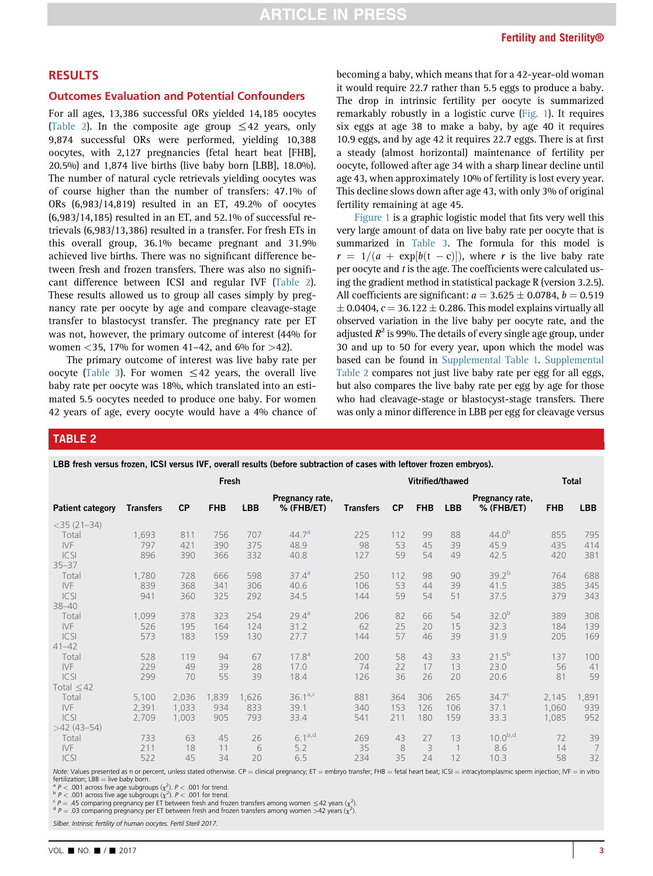# <span id="page-2-0"></span>RESULTS

### Outcomes Evaluation and Potential Confounders

For all ages, 13,386 successful ORs yielded 14,185 oocytes (Table 2). In the composite age group  $\leq 42$  years, only 9,874 successful ORs were performed, yielding 10,388 oocytes, with 2,127 pregnancies (fetal heart beat [FHB], 20.5%) and 1,874 live births (live baby born [LBB], 18.0%). The number of natural cycle retrievals yielding oocytes was of course higher than the number of transfers: 47.1% of ORs (6,983/14,819) resulted in an ET, 49.2% of oocytes (6,983/14,185) resulted in an ET, and 52.1% of successful retrievals (6,983/13,386) resulted in a transfer. For fresh ETs in this overall group, 36.1% became pregnant and 31.9% achieved live births. There was no significant difference between fresh and frozen transfers. There was also no significant difference between ICSI and regular IVF (Table 2). These results allowed us to group all cases simply by pregnancy rate per oocyte by age and compare cleavage-stage transfer to blastocyst transfer. The pregnancy rate per ET was not, however, the primary outcome of interest (44% for women  $\langle 35, 17\%$  for women 41–42, and 6% for  $>42$ ).

The primary outcome of interest was live baby rate per oocyte ([Table 3](#page-3-0)). For women  $\leq 42$  years, the overall live baby rate per oocyte was 18%, which translated into an estimated 5.5 oocytes needed to produce one baby. For women 42 years of age, every oocyte would have a 4% chance of becoming a baby, which means that for a 42-year-old woman it would require 22.7 rather than 5.5 eggs to produce a baby. The drop in intrinsic fertility per oocyte is summarized remarkably robustly in a logistic curve ([Fig. 1\)](#page-4-0). It requires six eggs at age 38 to make a baby, by age 40 it requires 10.9 eggs, and by age 42 it requires 22.7 eggs. There is at first a steady (almost horizontal) maintenance of fertility per oocyte, followed after age 34 with a sharp linear decline until age 43, when approximately 10% of fertility is lost every year. This decline slows down after age 43, with only 3% of original fertility remaining at age 45.

[Figure 1](#page-4-0) is a graphic logistic model that fits very well this very large amount of data on live baby rate per oocyte that is summarized in [Table 3.](#page-3-0) The formula for this model is  $r = 1/(a + \exp[b(t - c)])$ , where r is the live baby rate per oocyte and t is the age. The coefficients were calculated using the gradient method in statistical package R (version 3.2.5). All coefficients are significant:  $a = 3.625 \pm 0.0784$ ,  $b = 0.519$  $\pm$  0.0404, c = 36.122  $\pm$  0.286. This model explains virtually all observed variation in the live baby per oocyte rate, and the adjusted  $R^2$  is 99%. The details of every single age group, under 30 and up to 50 for every year, upon which the model was based can be found in Supplemental Table 1. Supplemental Table 2 compares not just live baby rate per egg for all eggs, but also compares the live baby rate per egg by age for those who had cleavage-stage or blastocyst-stage transfers. There was only a minor difference in LBB per egg for cleavage versus

# TABLE 2

LBB fresh versus frozen, ICSI versus IVF, overall results (before subtraction of cases with leftover frozen embryos).

|                         | Fresh            |           |            |            |                               | Vitrified/thawed |     |            |            | <b>Total</b>                  |            |            |
|-------------------------|------------------|-----------|------------|------------|-------------------------------|------------------|-----|------------|------------|-------------------------------|------------|------------|
| <b>Patient category</b> | <b>Transfers</b> | <b>CP</b> | <b>FHB</b> | <b>LBB</b> | Pregnancy rate,<br>% (FHB/ET) | <b>Transfers</b> | CP  | <b>FHB</b> | <b>LBB</b> | Pregnancy rate,<br>% (FHB/ET) | <b>FHB</b> | <b>LBB</b> |
| $<$ 35 (21-34)          |                  |           |            |            |                               |                  |     |            |            |                               |            |            |
| Total                   | 1,693            | 811       | 756        | 707        | 44.7 <sup>a</sup>             | 225              | 112 | 99         | 88         | 44.0 <sup>b</sup>             | 855        | 795        |
| <b>IVF</b>              | 797              | 421       | 390        | 375        | 48.9                          | 98               | 53  | 45         | 39         | 45.9                          | 435        | 414        |
| CS                      | 896              | 390       | 366        | 332        | 40.8                          | 127              | 59  | 54         | 49         | 42.5                          | 420        | 381        |
| $35 - 37$               |                  |           |            |            |                               |                  |     |            |            |                               |            |            |
| Total                   | 1,780            | 728       | 666        | 598        | 37.4 <sup>a</sup>             | 250              | 112 | 98         | 90         | 39.2 <sup>b</sup>             | 764        | 688        |
| <b>IVF</b>              | 839              | 368       | 341        | 306        | 40.6                          | 106              | 53  | 44         | 39         | 41.5                          | 385        | 345        |
| CS                      | 941              | 360       | 325        | 292        | 34.5                          | 144              | 59  | 54         | 51         | 37.5                          | 379        | 343        |
| $38 - 40$               |                  |           |            |            |                               |                  |     |            |            |                               |            |            |
| Total                   | 1,099            | 378       | 323        | 254        | 29.4 <sup>a</sup>             | 206              | 82  | 66         | 54         | $32.0^{b}$                    | 389        | 308        |
| IVF                     | 526              | 195       | 164        | 124        | 31.2                          | 62               | 25  | 20         | 15         | 32.3                          | 184        | 139        |
| CS                      | 573              | 183       | 159        | 130        | 27.7                          | 144              | 57  | 46         | 39         | 31.9                          | 205        | 169        |
| $41 - 42$               |                  |           |            |            |                               |                  |     |            |            |                               |            |            |
| Total                   | 528              | 119       | 94         | 67         | 17.8 <sup>a</sup>             | 200              | 58  | 43         | 33         | $21.5^{b}$                    | 137        | 100        |
| <b>IVF</b>              | 229              | 49        | 39         | 28         | 17.0                          | 74               | 22  | 17         | 13         | 23.0                          | 56         | 41         |
| CS                      | 299              | 70        | 55         | 39         | 18.4                          | 126              | 36  | 26         | 20         | 20.6                          | 81         | 59         |
| Total $\leq$ 42         |                  |           |            |            |                               |                  |     |            |            |                               |            |            |
| Total                   | 5,100            | 2,036     | 1,839      | 1,626      | $36.1^{a,c}$                  | 881              | 364 | 306        | 265        | $34.7^c$                      | 2.145      | 1,891      |
| IVF                     | 2,391            | 1,033     | 934        | 833        | 39.1                          | 340              | 153 | 126        | 106        | 37.1                          | 1.060      | 939        |
| CS                      | 2,709            | 1,003     | 905        | 793        | 33.4                          | 541              | 211 | 180        | 159        | 33.3                          | 1,085      | 952        |
| $>42(43-54)$            |                  |           |            |            |                               |                  |     |            |            |                               |            |            |
| Total                   | 733              | 63        | 45         | 26         | $6.1^{a,d}$                   | 269              | 43  | 27         | 13         | $10.0^{b,d}$                  | 72         | 39         |
| <b>IVF</b>              | 211              | 18        | 11         | 6          | 5.2                           | 35               | 8   | 3          |            | 8.6                           | 14         | 7          |
| CS                      | 522              | 45        | 34         | 20         | 6.5                           | 234              | 35  | 24         | 12         | 10.3                          | 58         | 32         |
|                         |                  |           |            |            |                               |                  |     |            |            |                               |            |            |

Note: Values presented as n or percent, unless stated otherwise. CP = clinical pregnancy; ET = embryo transfer; FHB = fetal heart beat; ICSI = intracytomplasmic sperm injection; IVF = in vitro<br>fertilization; LBB = live bab

 $f^B$ ,  $P$  < .001 across five age subgroups ( $\chi^2$ ).  $P$  < .001 for trend.

 $^a$  P < .001 across five age subgroups ( $\chi$ <sup>2</sup>). P < .001 for trend.<br><sup>b</sup> P < .001 across five age subgroups ( $\chi$ <sup>2</sup>). P < .001 for trend.<br><sup>c</sup> P = .45 comparing pregnancy per ET between fresh and frozen transfers among

 $^{\text{d}}$  P = .03 comparing pregnancy per ET between fresh and frozen transfers among women >42 years ( $\chi^2$ )

Silber. Intrinsic fertility of human oocytes. Fertil Steril 2017.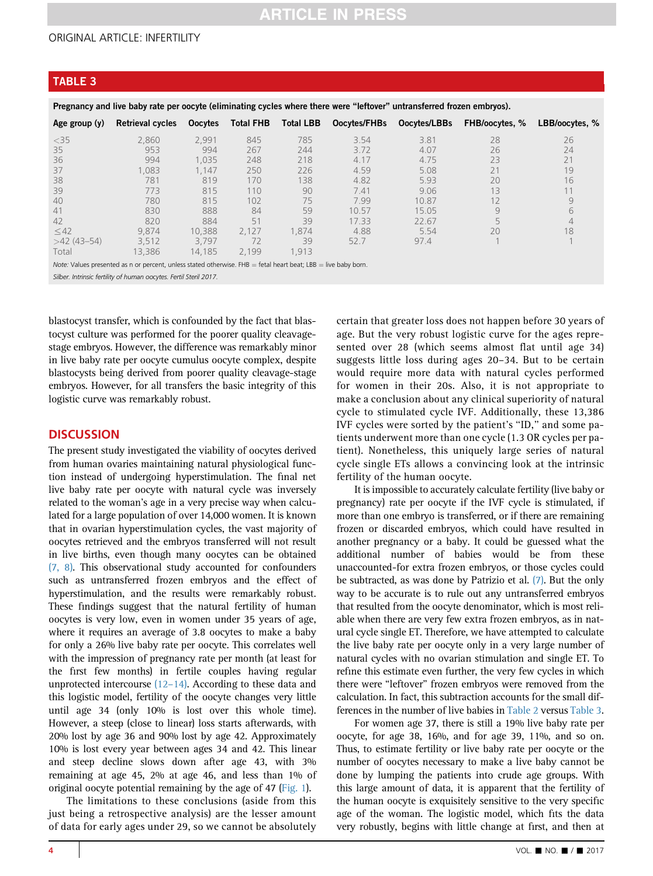# **ARTICLE IN PRESS**

# <span id="page-3-0"></span>ORIGINAL ARTICLE: INFERTILITY

# TABLE 3

Pregnancy and live baby rate per oocyte (eliminating cycles where there were ''leftover'' untransferred frozen embryos).

| Age group (y)                                                                                                  | <b>Retrieval cycles</b> | <b>Oocytes</b> | <b>Total FHB</b> | <b>Total LBB</b> | Oocytes/FHBs | Oocytes/LBBs | FHB/oocytes, % | LBB/oocytes, % |  |  |
|----------------------------------------------------------------------------------------------------------------|-------------------------|----------------|------------------|------------------|--------------|--------------|----------------|----------------|--|--|
| $<$ 35                                                                                                         | 2.860                   | 2.991          | 845              | 785              | 3.54         | 3.81         | 28             | 26             |  |  |
| 35                                                                                                             | 953                     | 994            | 267              | 244              | 3.72         | 4.07         | 26             | 24             |  |  |
| 36                                                                                                             | 994                     | 1.035          | 248              | 218              | 4.17         | 4.75         | 23             | 21             |  |  |
| 37                                                                                                             | 1.083                   | 1.147          | 250              | 226              | 4.59         | 5.08         | 21             | 19             |  |  |
| 38                                                                                                             | 781                     | 819            | 170              | 138              | 4.82         | 5.93         | 20             | 16             |  |  |
| 39                                                                                                             | 773                     | 815            | 110              | 90               | 7.41         | 9.06         | 13             | 11             |  |  |
| 40                                                                                                             | 780                     | 815            | 102              | 75               | 7.99         | 10.87        | 12             | 9              |  |  |
| 41                                                                                                             | 830                     | 888            | 84               | 59               | 10.57        | 15.05        | 9              | 6              |  |  |
| 42                                                                                                             | 820                     | 884            | 51               | 39               | 17.33        | 22.67        | 5              | 4              |  |  |
| $<$ 42                                                                                                         | 9.874                   | 10,388         | 2.127            | 1.874            | 4.88         | 5.54         | 20             | 18             |  |  |
| $>42(43-54)$                                                                                                   | 3,512                   | 3.797          | 72               | 39               | 52.7         | 97.4         |                |                |  |  |
| Total                                                                                                          | 13,386                  | 14.185         | 2.199            | 1.913            |              |              |                |                |  |  |
| Note: Values presented as n or percent, unless stated otherwise. FHB = fetal heart beat; LBB = live baby born. |                         |                |                  |                  |              |              |                |                |  |  |

Silber. Intrinsic fertility of human oocytes. Fertil Steril 2017.

blastocyst transfer, which is confounded by the fact that blastocyst culture was performed for the poorer quality cleavagestage embryos. However, the difference was remarkably minor in live baby rate per oocyte cumulus oocyte complex, despite blastocysts being derived from poorer quality cleavage-stage embryos. However, for all transfers the basic integrity of this logistic curve was remarkably robust.

# **DISCUSSION**

The present study investigated the viability of oocytes derived from human ovaries maintaining natural physiological function instead of undergoing hyperstimulation. The final net live baby rate per oocyte with natural cycle was inversely related to the woman's age in a very precise way when calculated for a large population of over 14,000 women. It is known that in ovarian hyperstimulation cycles, the vast majority of oocytes retrieved and the embryos transferred will not result in live births, even though many oocytes can be obtained [\(7, 8\)](#page-5-0). This observational study accounted for confounders such as untransferred frozen embryos and the effect of hyperstimulation, and the results were remarkably robust. These findings suggest that the natural fertility of human oocytes is very low, even in women under 35 years of age, where it requires an average of 3.8 oocytes to make a baby for only a 26% live baby rate per oocyte. This correlates well with the impression of pregnancy rate per month (at least for the first few months) in fertile couples having regular unprotected intercourse [\(12](#page-5-0)–14). According to these data and this logistic model, fertility of the oocyte changes very little until age 34 (only 10% is lost over this whole time). However, a steep (close to linear) loss starts afterwards, with 20% lost by age 36 and 90% lost by age 42. Approximately 10% is lost every year between ages 34 and 42. This linear and steep decline slows down after age 43, with 3% remaining at age 45, 2% at age 46, and less than 1% of original oocyte potential remaining by the age of 47 ([Fig. 1](#page-4-0)).

The limitations to these conclusions (aside from this just being a retrospective analysis) are the lesser amount of data for early ages under 29, so we cannot be absolutely

certain that greater loss does not happen before 30 years of age. But the very robust logistic curve for the ages represented over 28 (which seems almost flat until age 34) suggests little loss during ages 20–34. But to be certain would require more data with natural cycles performed for women in their 20s. Also, it is not appropriate to make a conclusion about any clinical superiority of natural cycle to stimulated cycle IVF. Additionally, these 13,386 IVF cycles were sorted by the patient's ''ID,'' and some patients underwent more than one cycle (1.3 OR cycles per patient). Nonetheless, this uniquely large series of natural cycle single ETs allows a convincing look at the intrinsic fertility of the human oocyte.

It is impossible to accurately calculate fertility (live baby or pregnancy) rate per oocyte if the IVF cycle is stimulated, if more than one embryo is transferred, or if there are remaining frozen or discarded embryos, which could have resulted in another pregnancy or a baby. It could be guessed what the additional number of babies would be from these unaccounted-for extra frozen embryos, or those cycles could be subtracted, as was done by Patrizio et al. [\(7\).](#page-5-0) But the only way to be accurate is to rule out any untransferred embryos that resulted from the oocyte denominator, which is most reliable when there are very few extra frozen embryos, as in natural cycle single ET. Therefore, we have attempted to calculate the live baby rate per oocyte only in a very large number of natural cycles with no ovarian stimulation and single ET. To refine this estimate even further, the very few cycles in which there were ''leftover'' frozen embryos were removed from the calculation. In fact, this subtraction accounts for the small differences in the number of live babies in [Table 2](#page-2-0) versus Table 3.

For women age 37, there is still a 19% live baby rate per oocyte, for age 38, 16%, and for age 39, 11%, and so on. Thus, to estimate fertility or live baby rate per oocyte or the number of oocytes necessary to make a live baby cannot be done by lumping the patients into crude age groups. With this large amount of data, it is apparent that the fertility of the human oocyte is exquisitely sensitive to the very specific age of the woman. The logistic model, which fits the data very robustly, begins with little change at first, and then at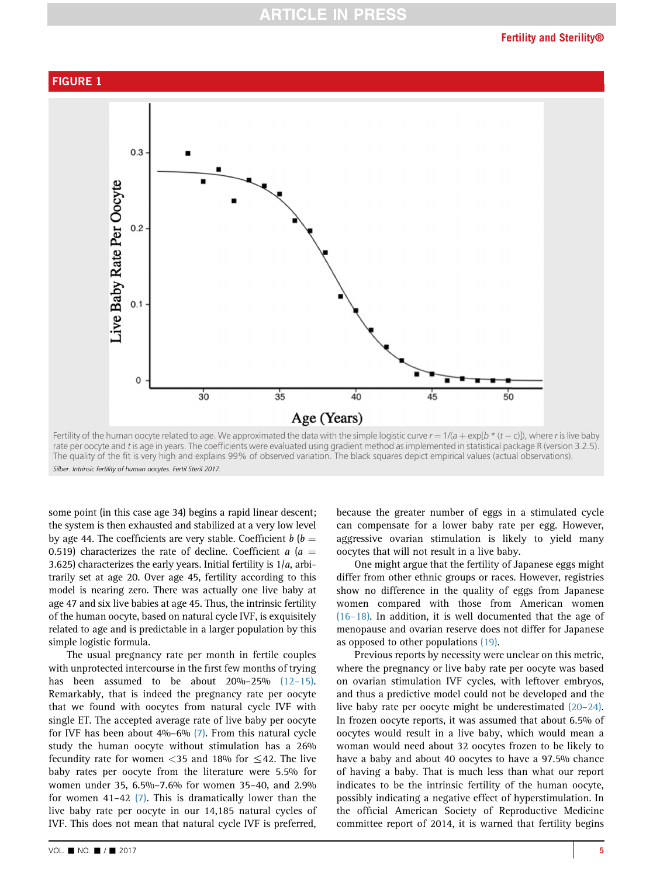<span id="page-4-0"></span>



Fertility of the human oocyte related to age. We approximated the data with the simple logistic curve  $r = 1/(a + \exp[b * (t - c)])$ , where r is live baby rate per oocyte and t is age in years. The coefficients were evaluated using gradient method as implemented in statistical package R (version 3.2.5). The quality of the fit is very high and explains 99% of observed variation. The black squares depict empirical values (actual observations). Silber. Intrinsic fertility of human oocytes. Fertil Steril 2017.

some point (in this case age 34) begins a rapid linear descent; the system is then exhausted and stabilized at a very low level by age 44. The coefficients are very stable. Coefficient  $b$  ( $b =$ 0.519) characterizes the rate of decline. Coefficient  $a$  ( $a =$ 3.625) characterizes the early years. Initial fertility is  $1/a$ , arbitrarily set at age 20. Over age 45, fertility according to this model is nearing zero. There was actually one live baby at age 47 and six live babies at age 45. Thus, the intrinsic fertility of the human oocyte, based on natural cycle IVF, is exquisitely related to age and is predictable in a larger population by this simple logistic formula.

The usual pregnancy rate per month in fertile couples with unprotected intercourse in the first few months of trying has been assumed to be about  $20\% - 25\%$  (12-[15\).](#page-5-0) Remarkably, that is indeed the pregnancy rate per oocyte that we found with oocytes from natural cycle IVF with single ET. The accepted average rate of live baby per oocyte for IVF has been about 4%–6% [\(7\)](#page-5-0). From this natural cycle study the human oocyte without stimulation has a 26% fecundity rate for women <35 and 18% for  $\leq$ 42. The live baby rates per oocyte from the literature were 5.5% for women under 35, 6.5%–7.6% for women 35–40, and 2.9% for women 41–42 [\(7\)](#page-5-0). This is dramatically lower than the live baby rate per oocyte in our 14,185 natural cycles of IVF. This does not mean that natural cycle IVF is preferred,

because the greater number of eggs in a stimulated cycle can compensate for a lower baby rate per egg. However, aggressive ovarian stimulation is likely to yield many oocytes that will not result in a live baby.

One might argue that the fertility of Japanese eggs might differ from other ethnic groups or races. However, registries show no difference in the quality of eggs from Japanese women compared with those from American women [\(16](#page-5-0)–18). In addition, it is well documented that the age of menopause and ovarian reserve does not differ for Japanese as opposed to other populations [\(19\).](#page-5-0)

Previous reports by necessity were unclear on this metric, where the pregnancy or live baby rate per oocyte was based on ovarian stimulation IVF cycles, with leftover embryos, and thus a predictive model could not be developed and the live baby rate per oocyte might be underestimated (20–[24\).](#page-5-0) In frozen oocyte reports, it was assumed that about 6.5% of oocytes would result in a live baby, which would mean a woman would need about 32 oocytes frozen to be likely to have a baby and about 40 oocytes to have a 97.5% chance of having a baby. That is much less than what our report indicates to be the intrinsic fertility of the human oocyte, possibly indicating a negative effect of hyperstimulation. In the official American Society of Reproductive Medicine committee report of 2014, it is warned that fertility begins